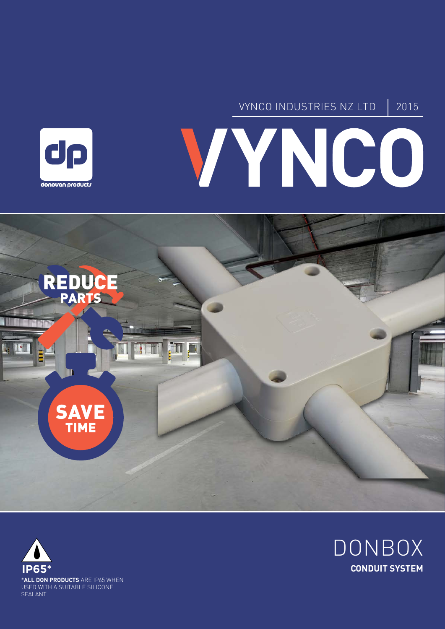







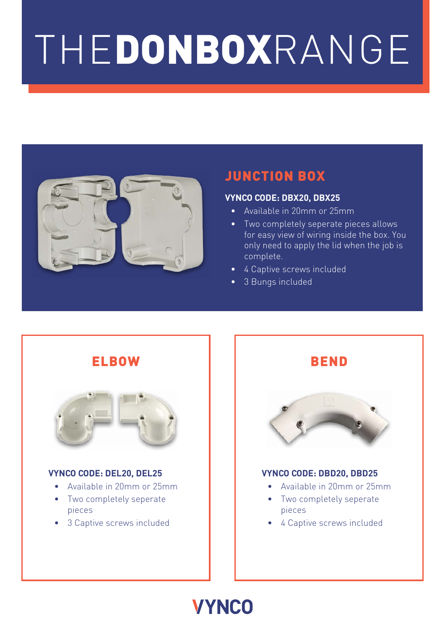# THEDONBOXRANGE



### JUNCTION BOX

### **VYNCO CODE: DBX20, DBX25**

- Available in 20mm or 25mm
- Two completely seperate pieces allows for easy view of wiring inside the box. You only need to apply the lid when the job is complete.
- 4 Captive screws included
- 3 Bungs included





#### **VYNCO CODE: DBD20, DBD25**

- Available in 20mm or 25mm
- Two completely seperate
- 4 Captive screws included

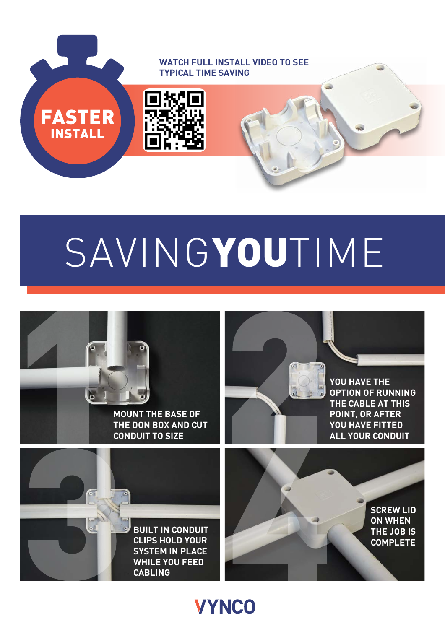

# SAVINGYOUTIME